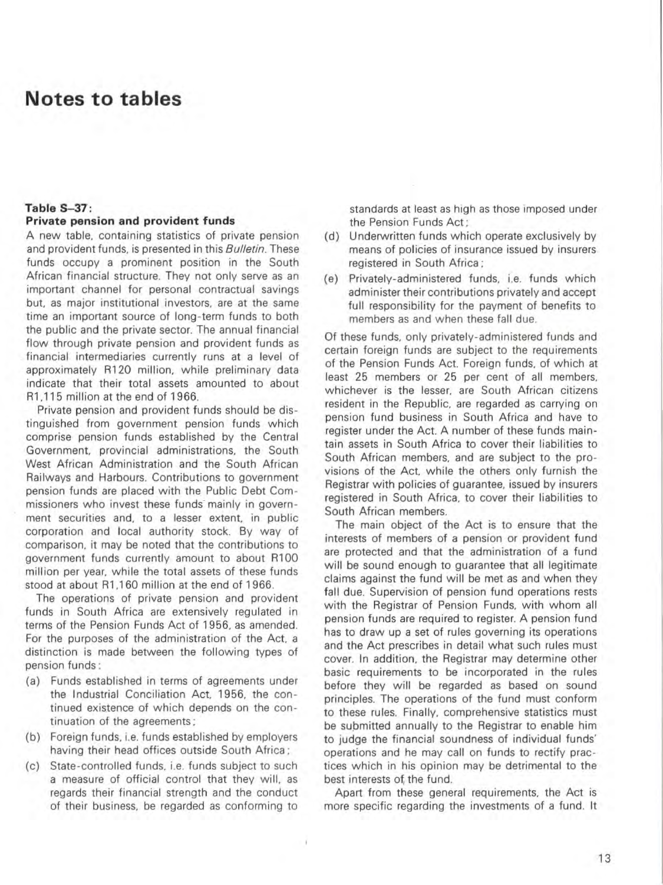# **Notes to tables**

### **Table 5- 37 :**

### **Private pension and provident funds**

A new table. containing statistics of private pension and provident funds. is presented in this *Bulletin.* These funds occupy a prominent position in the South African financial structure. They not only serve as an important channel for personal contractual savings but. as major institutional investors. are at the same time an important source of long-term funds to both the public and the private sector. The annual financial flow through private pension and provident funds as financial intermediaries currently runs at a level of approximately R120 million. while preliminary data indicate that their total assets amounted to about R1.115 million at the end of 1966.

Private pension and provident funds should be distinguished from government pension funds which comprise pension funds established by the Central Government. provincial administrations. the South West African Administration and the South African Railways and Harbours. Contributions to government pension funds are placed with the Public Debt Com missioners who invest these funds mainly in government securities and. to a lesser extent. in public corporation and local authority stock. By way of comparison. it may be noted that the contributions to government funds currently amount to about R100 million per year. while the total assets of these funds stood at about R1.160 million at the end of 1966.

The operations of private pension and provident funds in South Africa are extensively regulated in terms of the Pension Funds Act of 1956. as amended. For the purposes of the administration of the Act. a distinction is made between the following types of pension funds :

- (a) Funds established in terms of agreements under the Industrial Conciliation Act. 1956. the con tinued existence of which depends on the continuation of the agreements ;
- (b) Foreign funds. i.e. funds established by employers having their head offices outside South Africa ;
- (c) State-controlled funds. i.e. funds subject to such a measure of official control that they will, as regards their financial strength and the conduct of their business. be regarded as conforming to

- 1

standards at least as high as those imposed under the Pension Funds Act ;

- (d) Undervvritten funds which operate exclusively by means of policies of insurance issued by insurers registered in South Africa ;
- (e) Privately-administered funds. i.e. funds which administer their contributions privately and accept full responsibility for the payment of benefits to members as and when these fall due.

Of these funds. only privately-administered funds and certain foreign funds are subject to the requirements of the Pension Funds Act. Foreign funds. of which at least 25 members or 25 per cent of all members. whichever is the lesser. are South African citizens resident in the Republic. are regarded as carrying on pension fund business in South Africa and have to register under the Act. A number of these funds maintain assets in South Africa to cover their liabilities to South African members. and are subject to the provisions of the Act. while the others only furnish the Registrar with policies of guarantee. issued by insurers registered in South Africa. to cover their liabilities to South African members.

The main object of the Act is to ensure that the interests of members of a pension or provident fund are protected and that the administration of a fund will be sound enough to guarantee that all legitimate claims against the fund will be met as and when they fall due. Supervision of pension fund operations rests with the Registrar of Pension Funds, with whom all pension funds are required to register. A pension fund has to draw up a set of rules governing its operations and the Act prescribes in detail what such rules must cover. In addition. the Registrar may determine other basic requirements to be incorporated in the rules before they will be regarded as based on sound principles. The operations of the fund must conform to these rules. Finally. comprehensive statistics must be supmitted annually to the Registrar to enable him to judge the financial soundness of individual funds' operations and he may call on funds to rectify practices which in his opinion may be detrimental to the best interests of, the fund.

Apart from these general requirements. the Act is more specific regarding the investments of a fund. It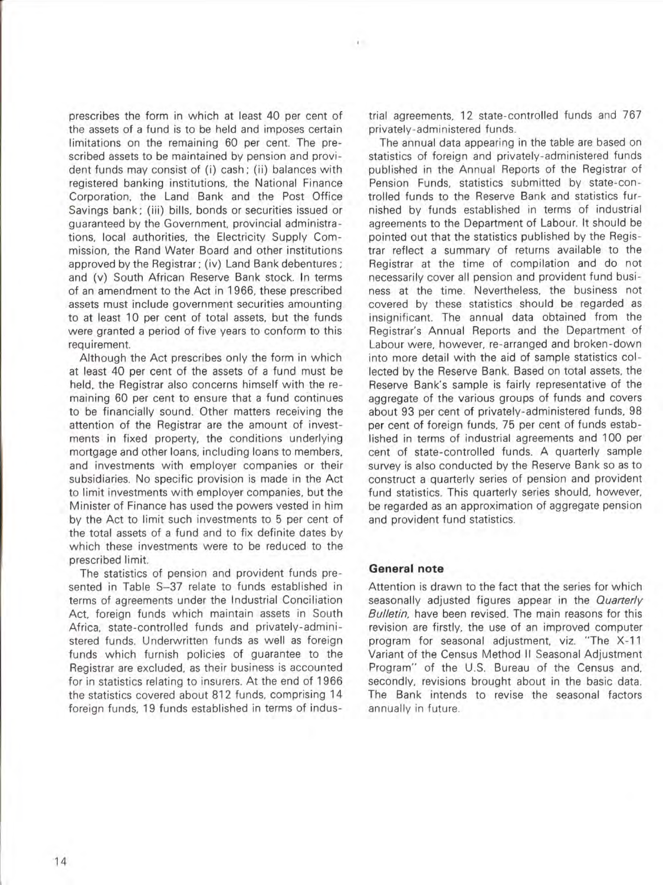prescribes the form in which at least 40 per cent of the assets of a fund is to be held and imposes certain limitations on the remaining 60 per cent. The prescribed assets to be maintained by pension and provident funds may consist of (i) cash; (ii) balances with registered banking institutions. the National Finance Corporation. the Land Bank and the Post Office Savings bank; (iii) bills. bonds or securities issued or guaranteed by the Government. provincial administrations. local authorities. the Electricity Supply Commission. the Rand Water Board and other institutions approved by the Registrar; (iv) Land Bank debentures; and (v) South African Reserve Bank stock. In terms of an amendment to the Act in 1966. these prescribed assets must include government securities amounting to at least 10 per cent of total assets. but the funds were granted a period of five years to conform to this requirement.

Although the Act prescribes only the form in which at least 40 per cent of the assets of a fund must be held. the Registrar also concerns himself with the remaining 60 per cent to ensure that a fund continues to be financially sound. Other matters receiving the attention of the Registrar are the amount of investments in fixed property. the conditions underlying mortgage and other loans, including loans to members. and investments with employer companies or their subsidiaries. No specific provision is made in the Act to limit investments with employer companies, but the Minister of Finance has used the powers vested in him by the Act to limit such investments to 5 per cent of the total assets of a fund and to fix definite dates by which these investments were to be reduced to the prescribed limit.

The statistics of pension and provident funds presented in Table S-37 relate to funds established in terms of agreements under the Industrial Conciliation Act. foreign funds which maintain assets in South Africa. state-controlled funds and privately-administered funds. Underwritten funds as well as foreign funds which furnish policies of guarantee to the Registrar are excluded. as their business is accounted for in statistics relating to insurers. At the end of 1966 the statistics covered about 812 funds, comprising **14**  foreign funds, 19 funds established in terms of industrial agreements, 12 state-controlled funds and 767 privately-administered funds.

The annual data appearing in the table are based on statistics of foreign and privately-administered funds published in the Annual Reports of the Registrar of Pension Funds. statistics submitted by state-controlled funds to the Reserve Bank and statistics furnished by funds established in terms of industrial agreements to the Department of Labour. It should be pointed out that the statistics published by the Registrar reflect a summary of returns available to the Registrar at the time of compilation and do not necessarily cover all pension and provident fund business at the time. Nevertheless, the business not covered by these statistics should be regarded as insignificant. The annual data obtained from the Registrar's Annual Reports and the Department of Labour were. however, re-arranged and broken-down into more detail with the aid of sample statistics collected by the Reserve Bank. Based on total assets, the Reserve Bank's sample is fairly representative of the aggregate of the various groups of funds and covers about 93 per cent of privately-administered funds, 98 per cent of foreign funds, 75 per cent of funds established in terms of industrial agreements and 100 per cent of state-contrOlled funds. A quarterly sample survey is also conducted by the Reserve Bank so as to construct a quarterly series of pension and provident fund statistics. This quarterly series should, however. be regarded as an approximation of aggregate pension and provident fund statistics.

### **General note**

 $\mathcal{A}$ 

Attention is drawn to the fact that the series for which seasonally adjusted figures appear in the Quarterly Bulletin, have been revised. The main reasons for this revision are firstly, the use of an improved computer program for seasonal adjustment. viz. "The X-11 Variant of the Census Method II Seasonal Adjustment Program" of the U.S. Bureau of the Census and, secondly, revisions brought about in the basic data. The Bank intends to revise the seasonal factors annually in future.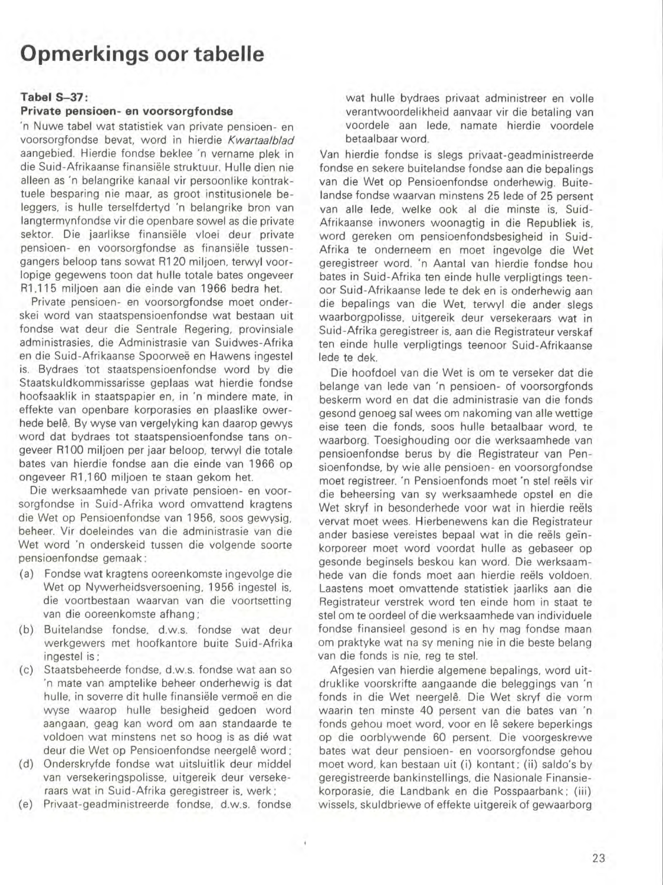# **Opmerkings oor tabelle**

### **Tabel5-37:**

#### **Private pensioen- en voorsorgfondse**

'n Nuwe tabel wat statistiek van private pensioen- en voorsorgfondse bevat. word in hierdie Kwartaalblad aangebied. Hierdie fondse beklee 'n vername plek in die Suid-Afrikaanse finansiele struktuur. Hulle dien nie aileen as 'n belangrike kanaal vir persoonlike kontraktuele besparing nie maar, as groot institusionele beleggers, is hulle terselfdertyd 'n belangrike bron van langtermynfondse vir die openbare sowel as die private sektor. Die jaarlikse finansiële vloei deur private pensioen- en voorsorgfondse as finansiële tussengangers beloop tans sowat R120 miljoen, terwyl voorlopige gegewens toon dat hulle totale bates ongeveer R1,115 miljoen aan die einde van 1966 bedra het.

Private pensioen- en voorsorgfondse moet onderskei word van staatspensioenfondse wat bestaan uit fondse wat deur die Sentrale Regering, provinsiale administrasies, die Administrasie van Suidwes-Afrika en die Suid-Afrikaanse Spoorweë en Hawens ingestel is. Bydraes tot staatspensioenfondse word by die Staatskuldkommissarisse geplaas wat hierdie fondse hoofsaaklik in staatspapier en, in 'n mindere mate. in effekte van openbare korporasies en plaaslike owerhede belê. By wyse van vergelyking kan daarop gewys word dat bydraes tot staatspensioenfondse tans ongeveer R100 miljoen per jaar beloop, terwyl die totale bates van hierdie fondse aan die einde van 1966 op ongeveer R1,160 miljoen te staan gekom het.

Die werksaamhede van private pensioen- en voorsorgfondse in Suid-Afrika word omvattend kragtens die Wet op Pensioenfondse van 1956, 5005 gewysig, beheer. Vir doeleindes van die administrasie van die Wet word 'n onderskeid tussen die volgende soorte pensioenfondse gemaak :

- (a) Fondse wat kragtens ooreenkomste ingevolge die Wet op Nywerheidsversoening, 1956 ingestel is, die voortbestaan waarvan van die voortsetting van die ooreenkomste afhang ;
- (b) Buitelandse fondse, d.w .s. fondse wat deur werkgewers met hoofkantore buite Suid-Afrika ingestel is;
- (c) Staatsbeheerde fondse, d.w.s. fondse wat aan so 'n mate van amptelike beheer onderhewig is dat hulle, in soverre dit hulle finansiële vermoë en die wyse waarop hulle besigheid gedoen word aangaan, geag kan word om aan standaarde te voldoen wat minstens net so hoog is as die wat deur die Wet op Pensioenfondse neergelê word ;
- (d) Onderskryfde fondse wat uitsluitlik deur middel van versekeringspolisse, uitgereik deur versekeraars wat in Suid-Afrika geregistreer is, werk ;
- (e) Privaat-geadministreerde fondse, d.w.s. fondse

 $^\mathrm{+}$ 

wat hulle bydraes privaat administreer en volle verantwoordelikheid aanvaar vir die betaling van voordele aan lede, namate hierdie voordele betaalbaar word.

Van hierdie fondse is slegs privaat-geadministreerde fondse en sekere buitelandse fondse aan die bepalings van die Wet op Pensioenfondse onderhewig. Buitelandse fondse waarvan minstens 25 lede of 25 persent van aile lede, welke ook al die minste is, Suid-Afrikaanse inwoners woonagtig in die Republiek is, word gereken om pensioenfondsbesigheid in Suid-Afrika te onderneem en moet ingevolge die Wet geregistreer word. 'n Aantal van hierdie fondse hou bates in Suid-Afrika ten einde hulle verpligtings teenoor Suid-Afrikaanse lede te dek en is onderhewig aan die bepalings van die Wet. terwyl die ander slegs waarborgpolisse, uitgereik deur versekeraars wat in Suid-Afrika geregistreer is, aan die Registrateur verskaf ten einde hulle verpligtings teenoor Suid-Afrikaanse lede te dek.

Die hoofdoel van die Wet is om te verseker dat die belange van lede van 'n pensioen- of voorsorgfonds beskerm word en dat die administrasie van die fonds gesond genoeg sal wees om nakoming van aile wettige eise teen die fonds, 5005 hulle betaalbaar word, te waarborg. Toesighouding oor die werksaamhede van pensioenfondse berus by die Registrateur van Pensioenfondse, by wie aile pensioen- en voorsorgfondse moet registreer. 'n Pensioenfonds moet 'n stel reëls vir die beheersing van sy werksaamhede opstel en die Wet skryf in besonderhede voor wat in hierdie reëls vervat moet wees. Hierbenewens kan die Registrateur ander basiese vereistes bepaal wat in die reëls geïnkorporeer moet word voordat hulle as gebaseer op gesonde beginsels beskou kan word. Die werksaamhede van die fonds moet aan hierdie reëls voldoen. Laastens moet omvattende statistiek jaarliks aan die Registrateur verstrek word ten einde hom in staat te stel om te oordeel of die werksaamhede van individuele fondse finansieel gesond is en hy mag fondse maan om praktyke wat na sy mening nie in die beste belang van die fonds is nie, reg te stel.

Afgesien van hierdie algemene bepalings, word uitdruklike voorskrifte aangaande die beleggings van 'n fonds in die Wet neergelê. Die Wet skryf die vorm waarin ten minste 40 persent van die bates van 'n fonds gehou moet word, voor en lê sekere beperkings op die oorblywende 60 persent. Die voorgeskrewe bates wat deur pensioen- en voorsorgfondse gehou moet word, kan bestaan uit (i) kontant; (ii) saldo's by geregistreerde bankinstellings, die Nasionale Finansiekorporasie, die Landbank en die Posspaarbank; (iii) wissels, skuldbriewe of effekte uitgereik of gewaarborg